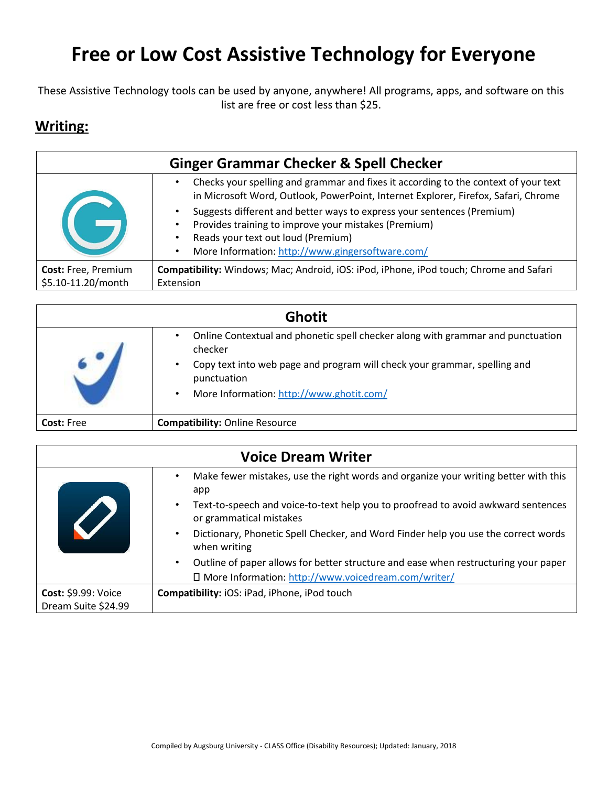## **Free or Low Cost Assistive Technology for Everyone**

These Assistive Technology tools can be used by anyone, anywhere! All programs, apps, and software on this list are free or cost less than \$25.

## **Writing:**

| <b>Ginger Grammar Checker &amp; Spell Checker</b> |                                                                                                                                                                                                                                                                              |
|---------------------------------------------------|------------------------------------------------------------------------------------------------------------------------------------------------------------------------------------------------------------------------------------------------------------------------------|
|                                                   | Checks your spelling and grammar and fixes it according to the context of your text<br>$\bullet$<br>in Microsoft Word, Outlook, PowerPoint, Internet Explorer, Firefox, Safari, Chrome                                                                                       |
|                                                   | Suggests different and better ways to express your sentences (Premium)<br>$\bullet$<br>Provides training to improve your mistakes (Premium)<br>$\bullet$<br>Reads your text out loud (Premium)<br>$\bullet$<br>More Information: http://www.gingersoftware.com/<br>$\bullet$ |
| Cost: Free, Premium                               | Compatibility: Windows; Mac; Android, iOS: iPod, iPhone, iPod touch; Chrome and Safari                                                                                                                                                                                       |
| \$5.10-11.20/month                                | Extension                                                                                                                                                                                                                                                                    |

|                   | Ghotit                                                                                     |
|-------------------|--------------------------------------------------------------------------------------------|
|                   | Online Contextual and phonetic spell checker along with grammar and punctuation<br>checker |
|                   | Copy text into web page and program will check your grammar, spelling and<br>punctuation   |
|                   | More Information: http://www.ghotit.com/                                                   |
| <b>Cost: Free</b> | <b>Compatibility: Online Resource</b>                                                      |

|                                                   | <b>Voice Dream Writer</b>                                                                                                 |
|---------------------------------------------------|---------------------------------------------------------------------------------------------------------------------------|
|                                                   | Make fewer mistakes, use the right words and organize your writing better with this<br>app                                |
|                                                   | Text-to-speech and voice-to-text help you to proofread to avoid awkward sentences<br>$\bullet$<br>or grammatical mistakes |
|                                                   | Dictionary, Phonetic Spell Checker, and Word Finder help you use the correct words<br>when writing                        |
|                                                   | Outline of paper allows for better structure and ease when restructuring your paper<br>$\bullet$                          |
|                                                   | □ More Information: http://www.voicedream.com/writer/                                                                     |
| <b>Cost: \$9.99: Voice</b><br>Dream Suite \$24.99 | Compatibility: iOS: iPad, iPhone, iPod touch                                                                              |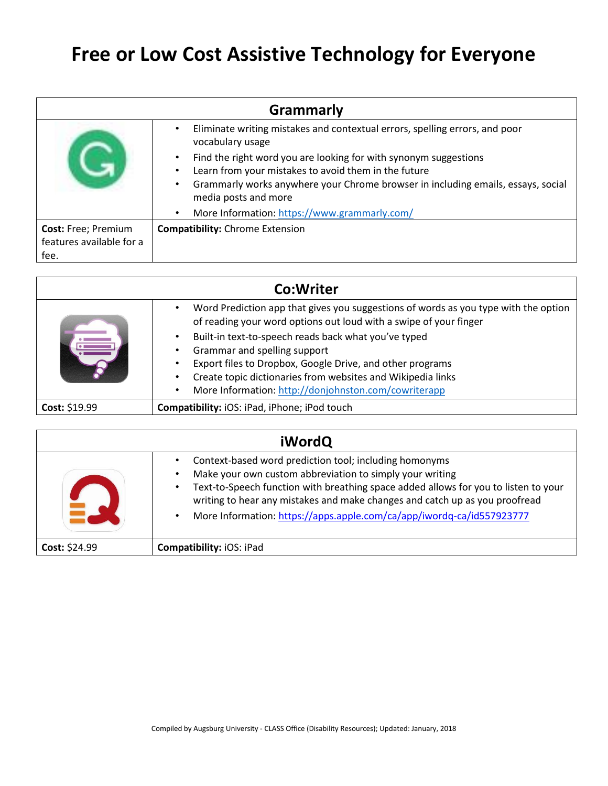## **Free or Low Cost Assistive Technology for Everyone**

| <b>Grammarly</b>         |                                                                                                                                          |
|--------------------------|------------------------------------------------------------------------------------------------------------------------------------------|
|                          | Eliminate writing mistakes and contextual errors, spelling errors, and poor<br>vocabulary usage                                          |
|                          | Find the right word you are looking for with synonym suggestions                                                                         |
|                          | Learn from your mistakes to avoid them in the future<br>Grammarly works anywhere your Chrome browser in including emails, essays, social |
|                          | media posts and more                                                                                                                     |
|                          | More Information: https://www.grammarly.com/                                                                                             |
| Cost: Free; Premium      | <b>Compatibility:</b> Chrome Extension                                                                                                   |
| features available for a |                                                                                                                                          |
| fee.                     |                                                                                                                                          |

| Co:Writer     |                                                                                                                                                               |
|---------------|---------------------------------------------------------------------------------------------------------------------------------------------------------------|
|               | Word Prediction app that gives you suggestions of words as you type with the option<br>٠<br>of reading your word options out loud with a swipe of your finger |
|               | Built-in text-to-speech reads back what you've typed<br>$\bullet$                                                                                             |
|               | Grammar and spelling support                                                                                                                                  |
|               | Export files to Dropbox, Google Drive, and other programs<br>٠                                                                                                |
|               | Create topic dictionaries from websites and Wikipedia links<br>٠                                                                                              |
|               | More Information: http://donjohnston.com/cowriterapp<br>٠                                                                                                     |
| Cost: \$19.99 | Compatibility: iOS: iPad, iPhone; iPod touch                                                                                                                  |

|               | <b>iWordQ</b>                                                                                                                                                                                                                                                                                                                                                     |
|---------------|-------------------------------------------------------------------------------------------------------------------------------------------------------------------------------------------------------------------------------------------------------------------------------------------------------------------------------------------------------------------|
|               | Context-based word prediction tool; including homonyms<br>Make your own custom abbreviation to simply your writing<br>Text-to-Speech function with breathing space added allows for you to listen to your<br>writing to hear any mistakes and make changes and catch up as you proofread<br>More Information: https://apps.apple.com/ca/app/iwordq-ca/id557923777 |
| Cost: \$24.99 | <b>Compatibility: iOS: iPad</b>                                                                                                                                                                                                                                                                                                                                   |